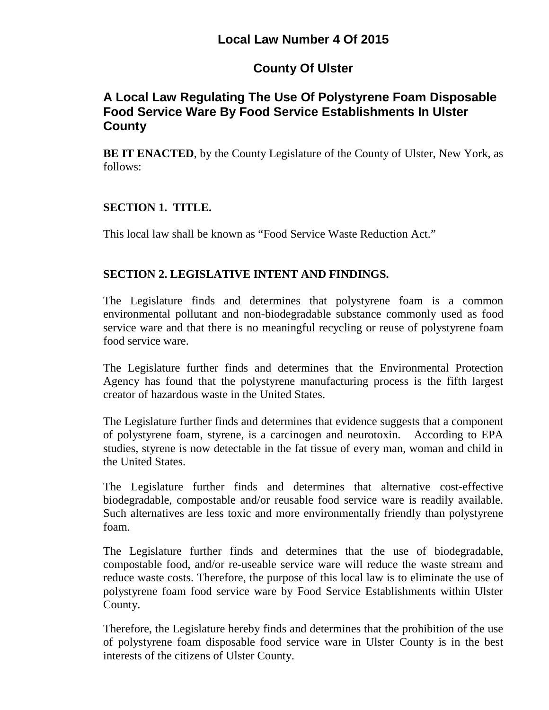# **Local Law Number 4 Of 2015**

# **County Of Ulster**

## **A Local Law Regulating The Use Of Polystyrene Foam Disposable Food Service Ware By Food Service Establishments In Ulster County**

**BE IT ENACTED**, by the County Legislature of the County of Ulster, New York, as follows:

### **SECTION 1. TITLE.**

This local law shall be known as "Food Service Waste Reduction Act."

### **SECTION 2. LEGISLATIVE INTENT AND FINDINGS.**

The Legislature finds and determines that polystyrene foam is a common environmental pollutant and non-biodegradable substance commonly used as food service ware and that there is no meaningful recycling or reuse of polystyrene foam food service ware.

The Legislature further finds and determines that the Environmental Protection Agency has found that the polystyrene manufacturing process is the fifth largest creator of hazardous waste in the United States.

The Legislature further finds and determines that evidence suggests that a component of polystyrene foam, styrene, is a carcinogen and neurotoxin. According to EPA studies, styrene is now detectable in the fat tissue of every man, woman and child in the United States.

The Legislature further finds and determines that alternative cost-effective biodegradable, compostable and/or reusable food service ware is readily available. Such alternatives are less toxic and more environmentally friendly than polystyrene foam.

The Legislature further finds and determines that the use of biodegradable, compostable food, and/or re-useable service ware will reduce the waste stream and reduce waste costs. Therefore, the purpose of this local law is to eliminate the use of polystyrene foam food service ware by Food Service Establishments within Ulster County.

Therefore, the Legislature hereby finds and determines that the prohibition of the use of polystyrene foam disposable food service ware in Ulster County is in the best interests of the citizens of Ulster County.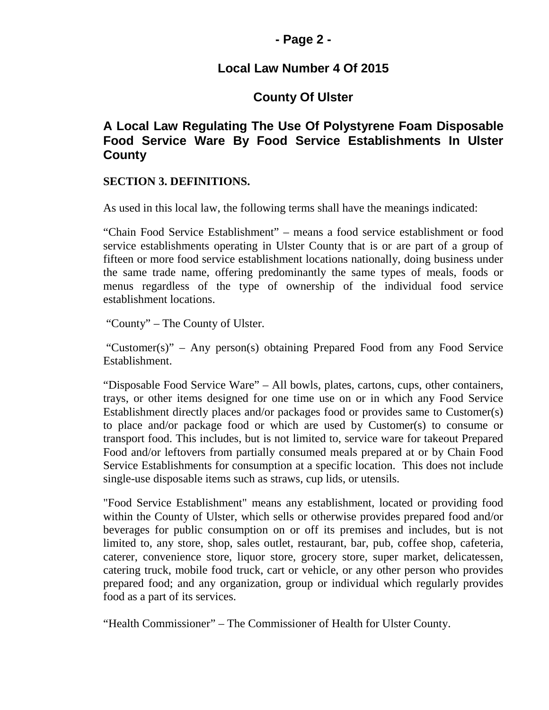### **- Page 2 -**

### **Local Law Number 4 Of 2015**

## **County Of Ulster**

## **A Local Law Regulating The Use Of Polystyrene Foam Disposable Food Service Ware By Food Service Establishments In Ulster County**

#### **SECTION 3. DEFINITIONS.**

As used in this local law, the following terms shall have the meanings indicated:

"Chain Food Service Establishment" – means a food service establishment or food service establishments operating in Ulster County that is or are part of a group of fifteen or more food service establishment locations nationally, doing business under the same trade name, offering predominantly the same types of meals, foods or menus regardless of the type of ownership of the individual food service establishment locations.

"County" – The County of Ulster.

"Customer(s)" – Any person(s) obtaining Prepared Food from any Food Service Establishment.

"Disposable Food Service Ware" – All bowls, plates, cartons, cups, other containers, trays, or other items designed for one time use on or in which any Food Service Establishment directly places and/or packages food or provides same to Customer(s) to place and/or package food or which are used by Customer(s) to consume or transport food. This includes, but is not limited to, service ware for takeout Prepared Food and/or leftovers from partially consumed meals prepared at or by Chain Food Service Establishments for consumption at a specific location. This does not include single-use disposable items such as straws, cup lids, or utensils.

"Food Service Establishment" means any establishment, located or providing food within the County of Ulster, which sells or otherwise provides prepared food and/or beverages for public consumption on or off its premises and includes, but is not limited to, any store, shop, sales outlet, restaurant, bar, pub, coffee shop, cafeteria, caterer, convenience store, liquor store, grocery store, super market, delicatessen, catering truck, mobile food truck, cart or vehicle, or any other person who provides prepared food; and any organization, group or individual which regularly provides food as a part of its services.

"Health Commissioner" – The Commissioner of Health for Ulster County.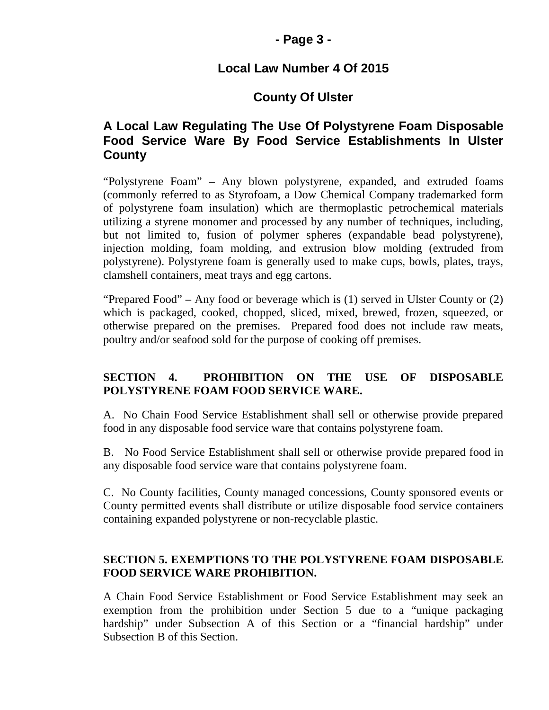### **- Page 3 -**

## **Local Law Number 4 Of 2015**

## **County Of Ulster**

## **A Local Law Regulating The Use Of Polystyrene Foam Disposable Food Service Ware By Food Service Establishments In Ulster County**

"Polystyrene Foam" – Any blown polystyrene, expanded, and extruded foams (commonly referred to as Styrofoam, a Dow Chemical Company trademarked form of polystyrene foam insulation) which are thermoplastic petrochemical materials utilizing a styrene monomer and processed by any number of techniques, including, but not limited to, fusion of polymer spheres (expandable bead polystyrene), injection molding, foam molding, and extrusion blow molding (extruded from polystyrene). Polystyrene foam is generally used to make cups, bowls, plates, trays, clamshell containers, meat trays and egg cartons.

"Prepared Food" – Any food or beverage which is (1) served in Ulster County or (2) which is packaged, cooked, chopped, sliced, mixed, brewed, frozen, squeezed, or otherwise prepared on the premises. Prepared food does not include raw meats, poultry and/or seafood sold for the purpose of cooking off premises.

### **SECTION 4. PROHIBITION ON THE USE OF DISPOSABLE POLYSTYRENE FOAM FOOD SERVICE WARE.**

A. No Chain Food Service Establishment shall sell or otherwise provide prepared food in any disposable food service ware that contains polystyrene foam.

B. No Food Service Establishment shall sell or otherwise provide prepared food in any disposable food service ware that contains polystyrene foam.

C. No County facilities, County managed concessions, County sponsored events or County permitted events shall distribute or utilize disposable food service containers containing expanded polystyrene or non-recyclable plastic.

### **SECTION 5. EXEMPTIONS TO THE POLYSTYRENE FOAM DISPOSABLE FOOD SERVICE WARE PROHIBITION.**

A Chain Food Service Establishment or Food Service Establishment may seek an exemption from the prohibition under Section 5 due to a "unique packaging hardship" under Subsection A of this Section or a "financial hardship" under Subsection B of this Section.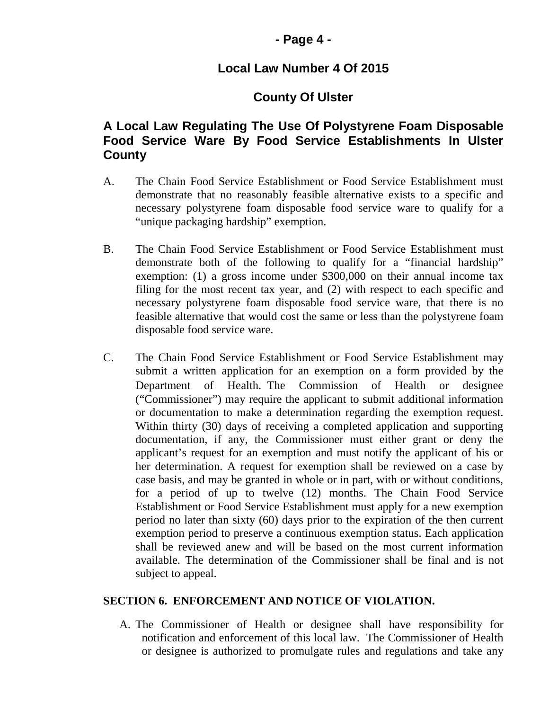### **- Page 4 -**

## **Local Law Number 4 Of 2015**

# **County Of Ulster**

## **A Local Law Regulating The Use Of Polystyrene Foam Disposable Food Service Ware By Food Service Establishments In Ulster County**

- A. The Chain Food Service Establishment or Food Service Establishment must demonstrate that no reasonably feasible alternative exists to a specific and necessary polystyrene foam disposable food service ware to qualify for a "unique packaging hardship" exemption.
- B. The Chain Food Service Establishment or Food Service Establishment must demonstrate both of the following to qualify for a "financial hardship" exemption: (1) a gross income under \$300,000 on their annual income tax filing for the most recent tax year, and (2) with respect to each specific and necessary polystyrene foam disposable food service ware, that there is no feasible alternative that would cost the same or less than the polystyrene foam disposable food service ware.
- C. The Chain Food Service Establishment or Food Service Establishment may submit a written application for an exemption on a form provided by the Department of Health. The Commission of Health or designee ("Commissioner") may require the applicant to submit additional information or documentation to make a determination regarding the exemption request. Within thirty (30) days of receiving a completed application and supporting documentation, if any, the Commissioner must either grant or deny the applicant's request for an exemption and must notify the applicant of his or her determination. A request for exemption shall be reviewed on a case by case basis, and may be granted in whole or in part, with or without conditions, for a period of up to twelve (12) months. The Chain Food Service Establishment or Food Service Establishment must apply for a new exemption period no later than sixty (60) days prior to the expiration of the then current exemption period to preserve a continuous exemption status. Each application shall be reviewed anew and will be based on the most current information available. The determination of the Commissioner shall be final and is not subject to appeal.

### **SECTION 6. ENFORCEMENT AND NOTICE OF VIOLATION.**

A. The Commissioner of Health or designee shall have responsibility for notification and enforcement of this local law. The Commissioner of Health or designee is authorized to promulgate rules and regulations and take any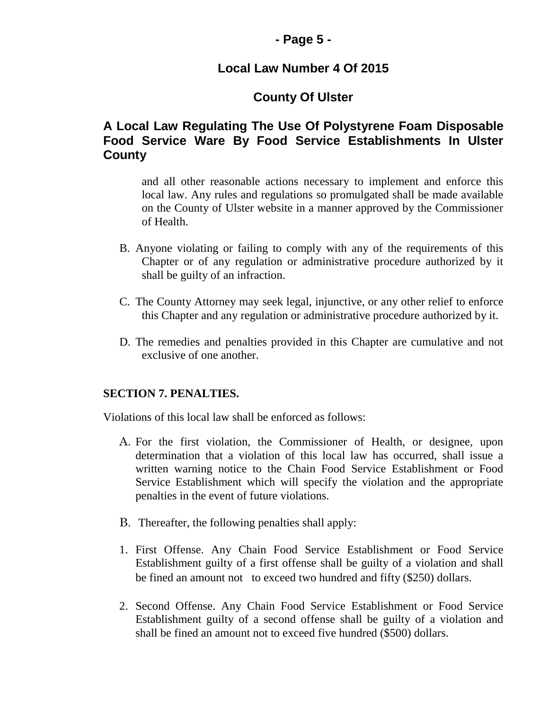## **- Page 5 -**

## **Local Law Number 4 Of 2015**

# **County Of Ulster**

## **A Local Law Regulating The Use Of Polystyrene Foam Disposable Food Service Ware By Food Service Establishments In Ulster County**

and all other reasonable actions necessary to implement and enforce this local law. Any rules and regulations so promulgated shall be made available on the County of Ulster website in a manner approved by the Commissioner of Health.

- B. Anyone violating or failing to comply with any of the requirements of this Chapter or of any regulation or administrative procedure authorized by it shall be guilty of an infraction.
- C. The County Attorney may seek legal, injunctive, or any other relief to enforce this Chapter and any regulation or administrative procedure authorized by it.
- D. The remedies and penalties provided in this Chapter are cumulative and not exclusive of one another.

### **SECTION 7. PENALTIES.**

Violations of this local law shall be enforced as follows:

- A. For the first violation, the Commissioner of Health, or designee, upon determination that a violation of this local law has occurred, shall issue a written warning notice to the Chain Food Service Establishment or Food Service Establishment which will specify the violation and the appropriate penalties in the event of future violations.
- B. Thereafter, the following penalties shall apply:
- 1. First Offense. Any Chain Food Service Establishment or Food Service Establishment guilty of a first offense shall be guilty of a violation and shall be fined an amount not to exceed two hundred and fifty (\$250) dollars.
- 2. Second Offense. Any Chain Food Service Establishment or Food Service Establishment guilty of a second offense shall be guilty of a violation and shall be fined an amount not to exceed five hundred (\$500) dollars.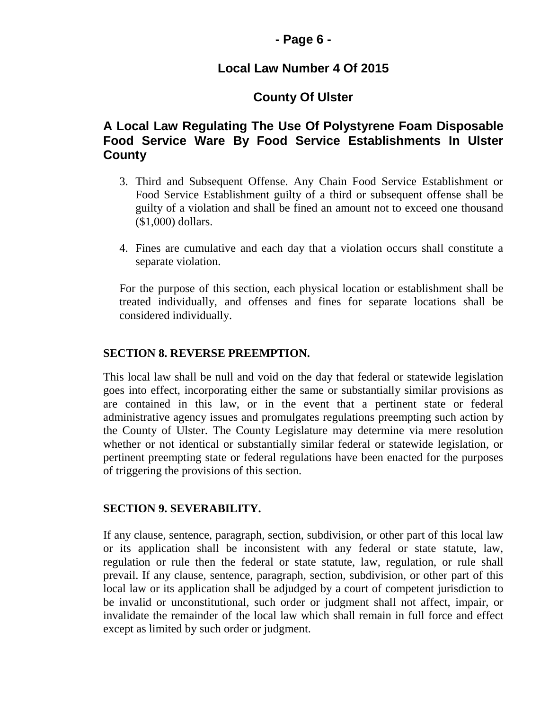### **- Page 6 -**

## **Local Law Number 4 Of 2015**

## **County Of Ulster**

## **A Local Law Regulating The Use Of Polystyrene Foam Disposable Food Service Ware By Food Service Establishments In Ulster County**

- 3. Third and Subsequent Offense. Any Chain Food Service Establishment or Food Service Establishment guilty of a third or subsequent offense shall be guilty of a violation and shall be fined an amount not to exceed one thousand (\$1,000) dollars.
- 4. Fines are cumulative and each day that a violation occurs shall constitute a separate violation.

For the purpose of this section, each physical location or establishment shall be treated individually, and offenses and fines for separate locations shall be considered individually.

#### **SECTION 8. REVERSE PREEMPTION.**

This local law shall be null and void on the day that federal or statewide legislation goes into effect, incorporating either the same or substantially similar provisions as are contained in this law, or in the event that a pertinent state or federal administrative agency issues and promulgates regulations preempting such action by the County of Ulster. The County Legislature may determine via mere resolution whether or not identical or substantially similar federal or statewide legislation, or pertinent preempting state or federal regulations have been enacted for the purposes of triggering the provisions of this section.

#### **SECTION 9. SEVERABILITY.**

If any clause, sentence, paragraph, section, subdivision, or other part of this local law or its application shall be inconsistent with any federal or state statute, law, regulation or rule then the federal or state statute, law, regulation, or rule shall prevail. If any clause, sentence, paragraph, section, subdivision, or other part of this local law or its application shall be adjudged by a court of competent jurisdiction to be invalid or unconstitutional, such order or judgment shall not affect, impair, or invalidate the remainder of the local law which shall remain in full force and effect except as limited by such order or judgment.